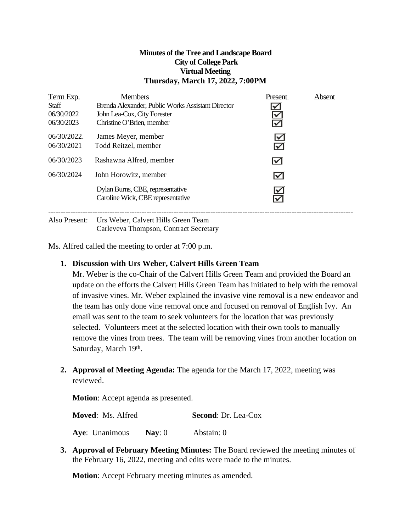#### **Minutes of theTree and LandscapeBoard City of College Park Virtual Meeting Thursday, March 17, 2022, 7:00PM**

| Term Exp.<br><b>Staff</b><br>06/30/2022<br>06/30/2023 | <b>Members</b><br>Brenda Alexander, Public Works Assistant Director<br>John Lea-Cox, City Forester<br>Christine O'Brien, member                                                                                                                                                                                                    | Present<br>$\checkmark$<br>$\leq$            | Absent |
|-------------------------------------------------------|------------------------------------------------------------------------------------------------------------------------------------------------------------------------------------------------------------------------------------------------------------------------------------------------------------------------------------|----------------------------------------------|--------|
| 06/30/2022.<br>06/30/2021                             | James Meyer, member<br>Todd Reitzel, member                                                                                                                                                                                                                                                                                        | $\blacktriangledown$<br>$\blacktriangledown$ |        |
| 06/30/2023                                            | Rashawna Alfred, member                                                                                                                                                                                                                                                                                                            | $\blacktriangledown$                         |        |
| 06/30/2024                                            | John Horowitz, member                                                                                                                                                                                                                                                                                                              | $\blacktriangledown$                         |        |
|                                                       | Dylan Burns, CBE, representative<br>Caroline Wick, CBE representative                                                                                                                                                                                                                                                              | $\blacktriangledown$                         |        |
| $\mathbf{1}$ $\mathbf{R}$                             | $\mathbf{r}$ $\mathbf{r}$ $\mathbf{r}$ $\mathbf{r}$ $\mathbf{r}$ $\mathbf{r}$ $\mathbf{r}$ $\mathbf{r}$ $\mathbf{r}$ $\mathbf{r}$ $\mathbf{r}$ $\mathbf{r}$ $\mathbf{r}$ $\mathbf{r}$ $\mathbf{r}$ $\mathbf{r}$ $\mathbf{r}$ $\mathbf{r}$ $\mathbf{r}$ $\mathbf{r}$ $\mathbf{r}$ $\mathbf{r}$ $\mathbf{r}$ $\mathbf{r}$ $\mathbf{$ |                                              |        |

Also Present: Urs Weber, Calvert Hills Green Team Carleveva Thompson, Contract Secretary

Ms. Alfred called the meeting to order at 7:00 p.m.

#### **1. Discussion with Urs Weber, Calvert Hills Green Team**

Mr. Weber is the co-Chair of the Calvert Hills Green Team and provided the Board an update on the efforts the Calvert Hills Green Team has initiated to help with the removal of invasive vines. Mr. Weber explained the invasive vine removal is a new endeavor and the team has only done vine removal once and focused on removal of English Ivy. An email was sent to the team to seek volunteers for the location that was previously selected. Volunteers meet at the selected location with their own tools to manually remove the vines from trees. The team will be removing vines from another location on Saturday, March 19th.

**2. Approval of Meeting Agenda:** The agenda for the March 17, 2022, meeting was reviewed.

**Motion**: Accept agenda as presented.

**Moved**: Ms. Alfred **Second**: Dr. Lea-Cox

**Aye**: Unanimous **Nay**: 0 Abstain: 0

**3. Approval of February Meeting Minutes:** The Board reviewed the meeting minutes of the February 16, 2022, meeting and edits were made to the minutes.

**Motion:** Accept February meeting minutes as amended.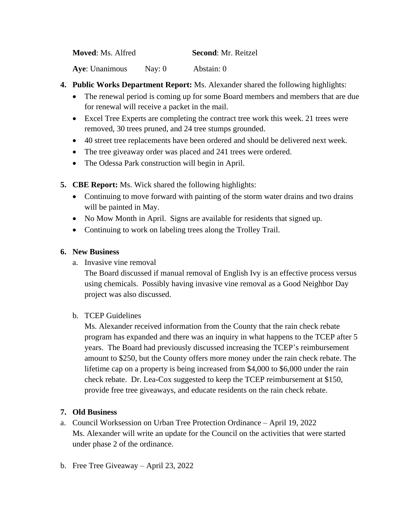| <b>Moved: Ms. Alfred</b> | <b>Second: Mr. Reitzel</b> |
|--------------------------|----------------------------|
|                          |                            |

**Aye**: Unanimous Nay: 0 Abstain: 0

- **4. Public Works Department Report:** Ms. Alexander shared the following highlights:
	- The renewal period is coming up for some Board members and members that are due for renewal will receive a packet in the mail.
	- Excel Tree Experts are completing the contract tree work this week. 21 trees were removed, 30 trees pruned, and 24 tree stumps grounded.
	- 40 street tree replacements have been ordered and should be delivered next week.
	- The tree giveaway order was placed and 241 trees were ordered.
	- The Odessa Park construction will begin in April.
- **5. CBE Report:** Ms. Wick shared the following highlights:
	- Continuing to move forward with painting of the storm water drains and two drains will be painted in May.
	- No Mow Month in April. Signs are available for residents that signed up.
	- Continuing to work on labeling trees along the Trolley Trail.

# **6. New Business**

a. Invasive vine removal

The Board discussed if manual removal of English Ivy is an effective process versus using chemicals. Possibly having invasive vine removal as a Good Neighbor Day project was also discussed.

# b. TCEP Guidelines

Ms. Alexander received information from the County that the rain check rebate program has expanded and there was an inquiry in what happens to the TCEP after 5 years. The Board had previously discussed increasing the TCEP's reimbursement amount to \$250, but the County offers more money under the rain check rebate. The lifetime cap on a property is being increased from \$4,000 to \$6,000 under the rain check rebate. Dr. Lea-Cox suggested to keep the TCEP reimbursement at \$150, provide free tree giveaways, and educate residents on the rain check rebate.

# **7. Old Business**

- a. Council Worksession on Urban Tree Protection Ordinance April 19, 2022 Ms. Alexander will write an update for the Council on the activities that were started under phase 2 of the ordinance.
- b. Free Tree Giveaway April 23, 2022